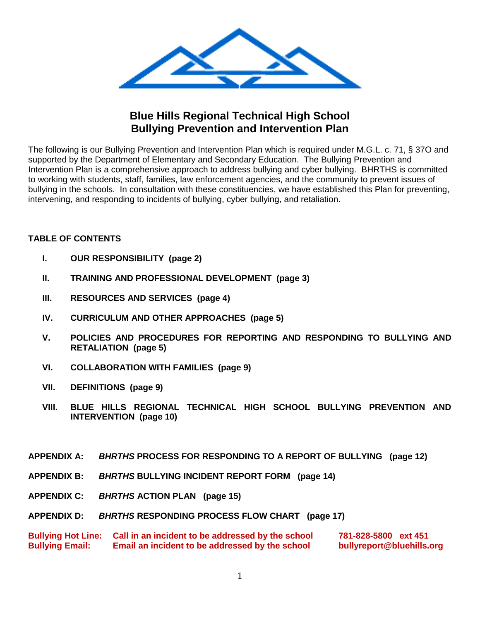

# **Blue Hills Regional Technical High School Bullying Prevention and Intervention Plan**

The following is our Bullying Prevention and Intervention Plan which is required under M.G.L. c. 71, § 37O and supported by the Department of Elementary and Secondary Education. The Bullying Prevention and Intervention Plan is a comprehensive approach to address bullying and cyber bullying. BHRTHS is committed to working with students, staff, families, law enforcement agencies, and the community to prevent issues of bullying in the schools. In consultation with these constituencies, we have established this Plan for preventing, intervening, and responding to incidents of bullying, cyber bullying, and retaliation.

### **TABLE OF CONTENTS**

- **I. OUR RESPONSIBILITY (page 2)**
- **II. TRAINING AND PROFESSIONAL DEVELOPMENT (page 3)**
- **III. RESOURCES AND SERVICES (page 4)**
- **IV. CURRICULUM AND OTHER APPROACHES (page 5)**
- **V. POLICIES AND PROCEDURES FOR REPORTING AND RESPONDING TO BULLYING AND RETALIATION (page 5)**
- **VI. COLLABORATION WITH FAMILIES (page 9)**
- **VII. DEFINITIONS (page 9)**
- **VIII. BLUE HILLS REGIONAL TECHNICAL HIGH SCHOOL BULLYING PREVENTION AND INTERVENTION (page 10)**
- **APPENDIX A:** *BHRTHS* **PROCESS FOR RESPONDING TO A REPORT OF BULLYING (page 12)**
- **APPENDIX B:** *BHRTHS* **BULLYING INCIDENT REPORT FORM (page 14)**
- **APPENDIX C:** *BHRTHS* **ACTION PLAN (page 15)**
- **APPENDIX D:** *BHRTHS* **RESPONDING PROCESS FLOW CHART (page 17)**

**Bullying Hot Line: Call in an incident to be addressed by the school 781-828-5800 ext 451 Bullying Email: Email an incident to be addressed by the school bullyreport@bluehills.org**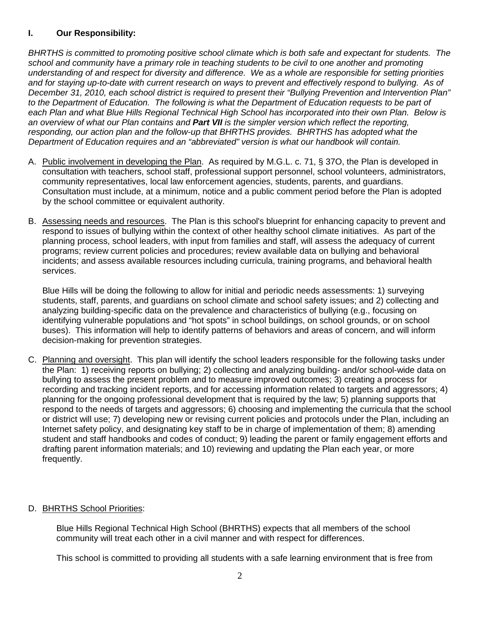### **I. Our Responsibility:**

*BHRTHS is committed to promoting positive school climate which is both safe and expectant for students. The school and community have a primary role in teaching students to be civil to one another and promoting understanding of and respect for diversity and difference. We as a whole are responsible for setting priorities and for staying up-to-date with current research on ways to prevent and effectively respond to bullying. As of December 31, 2010, each school district is required to present their "Bullying Prevention and Intervention Plan" to the Department of Education. The following is what the Department of Education requests to be part of*  each Plan and what Blue Hills Regional Technical High School has incorporated into their own Plan. Below is *an overview of what our Plan contains and Part VII is the simpler version which reflect the reporting, responding, our action plan and the follow-up that BHRTHS provides. BHRTHS has adopted what the Department of Education requires and an "abbreviated" version is what our handbook will contain.*

- A. Public involvement in developing the Plan. As required by M.G.L. c. 71, § 370, the Plan is developed in consultation with teachers, school staff, professional support personnel, school volunteers, administrators, community representatives, local law enforcement agencies, students, parents, and guardians. Consultation must include, at a minimum, notice and a public comment period before the Plan is adopted by the school committee or equivalent authority.
- B. Assessing needs and resources. The Plan is this school's blueprint for enhancing capacity to prevent and respond to issues of bullying within the context of other healthy school climate initiatives. As part of the planning process, school leaders, with input from families and staff, will assess the adequacy of current programs; review current policies and procedures; review available data on bullying and behavioral incidents; and assess available resources including curricula, training programs, and behavioral health services.

Blue Hills will be doing the following to allow for initial and periodic needs assessments: 1) surveying students, staff, parents, and guardians on school climate and school safety issues; and 2) collecting and analyzing building-specific data on the prevalence and characteristics of bullying (e.g., focusing on identifying vulnerable populations and "hot spots" in school buildings, on school grounds, or on school buses). This information will help to identify patterns of behaviors and areas of concern, and will inform decision-making for prevention strategies.

C. Planning and oversight. This plan will identify the school leaders responsible for the following tasks under the Plan: 1) receiving reports on bullying; 2) collecting and analyzing building- and/or school-wide data on bullying to assess the present problem and to measure improved outcomes; 3) creating a process for recording and tracking incident reports, and for accessing information related to targets and aggressors; 4) planning for the ongoing professional development that is required by the law; 5) planning supports that respond to the needs of targets and aggressors; 6) choosing and implementing the curricula that the school or district will use; 7) developing new or revising current policies and protocols under the Plan, including an Internet safety policy, and designating key staff to be in charge of implementation of them; 8) amending student and staff handbooks and codes of conduct; 9) leading the parent or family engagement efforts and drafting parent information materials; and 10) reviewing and updating the Plan each year, or more frequently.

### D. BHRTHS School Priorities:

Blue Hills Regional Technical High School (BHRTHS) expects that all members of the school community will treat each other in a civil manner and with respect for differences.

This school is committed to providing all students with a safe learning environment that is free from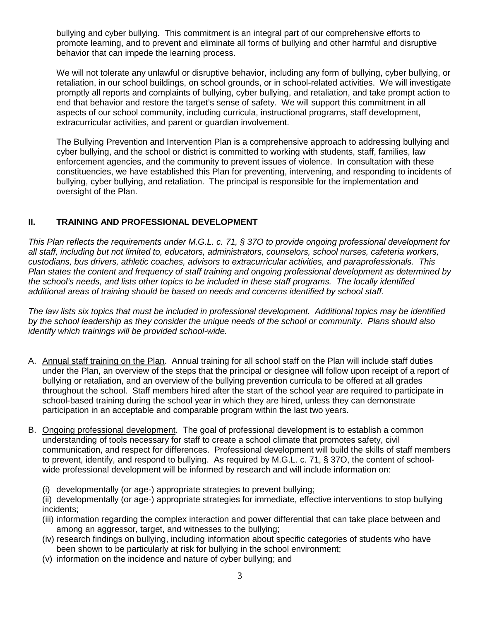bullying and cyber bullying. This commitment is an integral part of our comprehensive efforts to promote learning, and to prevent and eliminate all forms of bullying and other harmful and disruptive behavior that can impede the learning process.

We will not tolerate any unlawful or disruptive behavior, including any form of bullying, cyber bullying, or retaliation, in our school buildings, on school grounds, or in school-related activities. We will investigate promptly all reports and complaints of bullying, cyber bullying, and retaliation, and take prompt action to end that behavior and restore the target's sense of safety. We will support this commitment in all aspects of our school community, including curricula, instructional programs, staff development, extracurricular activities, and parent or guardian involvement.

The Bullying Prevention and Intervention Plan is a comprehensive approach to addressing bullying and cyber bullying, and the school or district is committed to working with students, staff, families, law enforcement agencies, and the community to prevent issues of violence. In consultation with these constituencies, we have established this Plan for preventing, intervening, and responding to incidents of bullying, cyber bullying, and retaliation. The principal is responsible for the implementation and oversight of the Plan.

### **II. TRAINING AND PROFESSIONAL DEVELOPMENT**

*This Plan reflects the requirements under M.G.L. c. 71, § 37O to provide ongoing professional development for all staff, including but not limited to, educators, administrators, counselors, school nurses, cafeteria workers, custodians, bus drivers, athletic coaches, advisors to extracurricular activities, and paraprofessionals. This Plan states the content and frequency of staff training and ongoing professional development as determined by the school's needs, and lists other topics to be included in these staff programs. The locally identified additional areas of training should be based on needs and concerns identified by school staff.* 

*The law lists six topics that must be included in professional development. Additional topics may be identified by the school leadership as they consider the unique needs of the school or community. Plans should also identify which trainings will be provided school-wide.* 

- A. Annual staff training on the Plan. Annual training for all school staff on the Plan will include staff duties under the Plan, an overview of the steps that the principal or designee will follow upon receipt of a report of bullying or retaliation, and an overview of the bullying prevention curricula to be offered at all grades throughout the school. Staff members hired after the start of the school year are required to participate in school-based training during the school year in which they are hired, unless they can demonstrate participation in an acceptable and comparable program within the last two years.
- B. Ongoing professional development. The goal of professional development is to establish a common understanding of tools necessary for staff to create a school climate that promotes safety, civil communication, and respect for differences. Professional development will build the skills of staff members to prevent, identify, and respond to bullying. As required by M.G.L. c. 71, § 37O, the content of schoolwide professional development will be informed by research and will include information on:
	- (i) developmentally (or age-) appropriate strategies to prevent bullying;

(ii) developmentally (or age-) appropriate strategies for immediate, effective interventions to stop bullying incidents;

- (iii) information regarding the complex interaction and power differential that can take place between and among an aggressor, target, and witnesses to the bullying;
- (iv) research findings on bullying, including information about specific categories of students who have been shown to be particularly at risk for bullying in the school environment;
- (v) information on the incidence and nature of cyber bullying; and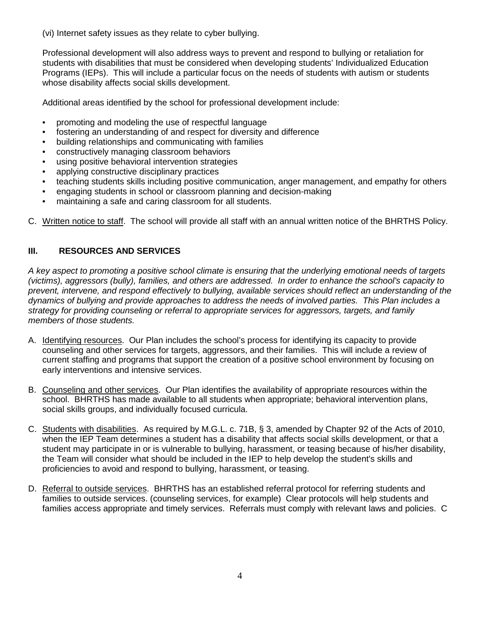(vi) Internet safety issues as they relate to cyber bullying.

Professional development will also address ways to prevent and respond to bullying or retaliation for students with disabilities that must be considered when developing students' Individualized Education Programs (IEPs). This will include a particular focus on the needs of students with autism or students whose disability affects social skills development.

Additional areas identified by the school for professional development include:

- promoting and modeling the use of respectful language
- fostering an understanding of and respect for diversity and difference
- building relationships and communicating with families
- constructively managing classroom behaviors
- using positive behavioral intervention strategies
- applying constructive disciplinary practices
- teaching students skills including positive communication, anger management, and empathy for others
- engaging students in school or classroom planning and decision-making
- maintaining a safe and caring classroom for all students.
- C. Written notice to staff. The school will provide all staff with an annual written notice of the BHRTHS Policy.

### **III. RESOURCES AND SERVICES**

*A key aspect to promoting a positive school climate is ensuring that the underlying emotional needs of targets (victims), aggressors (bully), families, and others are addressed. In order to enhance the school's capacity to prevent, intervene, and respond effectively to bullying, available services should reflect an understanding of the dynamics of bullying and provide approaches to address the needs of involved parties. This Plan includes a strategy for providing counseling or referral to appropriate services for aggressors, targets, and family members of those students.*

- A. Identifying resources. Our Plan includes the school's process for identifying its capacity to provide counseling and other services for targets, aggressors, and their families. This will include a review of current staffing and programs that support the creation of a positive school environment by focusing on early interventions and intensive services.
- B. Counseling and other services. Our Plan identifies the availability of appropriate resources within the school. BHRTHS has made available to all students when appropriate; behavioral intervention plans, social skills groups, and individually focused curricula.
- C. Students with disabilities. As required by M.G.L. c. 71B, § 3, amended by Chapter 92 of the Acts of 2010, when the IEP Team determines a student has a disability that affects social skills development, or that a student may participate in or is vulnerable to bullying, harassment, or teasing because of his/her disability, the Team will consider what should be included in the IEP to help develop the student's skills and proficiencies to avoid and respond to bullying, harassment, or teasing.
- D. Referral to outside services. BHRTHS has an established referral protocol for referring students and families to outside services. (counseling services, for example) Clear protocols will help students and families access appropriate and timely services. Referrals must comply with relevant laws and policies. C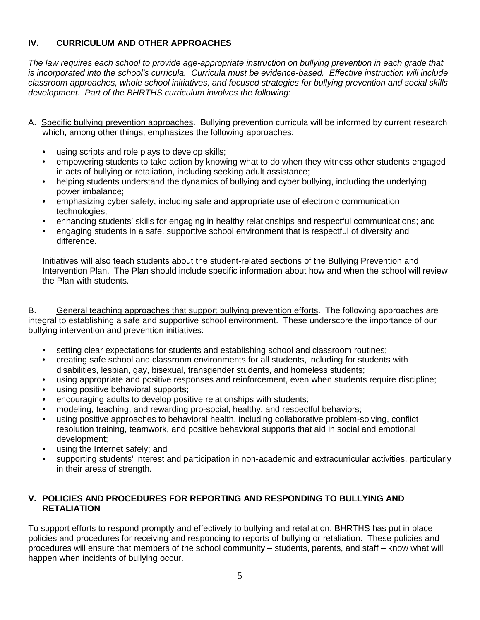### **IV. CURRICULUM AND OTHER APPROACHES**

*The law requires each school to provide age-appropriate instruction on bullying prevention in each grade that is incorporated into the school's curricula. Curricula must be evidence-based. Effective instruction will include classroom approaches, whole school initiatives, and focused strategies for bullying prevention and social skills development. Part of the BHRTHS curriculum involves the following:* 

- A. Specific bullying prevention approaches. Bullying prevention curricula will be informed by current research which, among other things, emphasizes the following approaches:
	- using scripts and role plays to develop skills;
	- empowering students to take action by knowing what to do when they witness other students engaged in acts of bullying or retaliation, including seeking adult assistance;
	- helping students understand the dynamics of bullying and cyber bullying, including the underlying power imbalance;
	- emphasizing cyber safety, including safe and appropriate use of electronic communication technologies;
	- enhancing students' skills for engaging in healthy relationships and respectful communications; and
	- engaging students in a safe, supportive school environment that is respectful of diversity and difference.

Initiatives will also teach students about the student-related sections of the Bullying Prevention and Intervention Plan. The Plan should include specific information about how and when the school will review the Plan with students.

B. General teaching approaches that support bullying prevention efforts. The following approaches are integral to establishing a safe and supportive school environment. These underscore the importance of our bullying intervention and prevention initiatives:

- setting clear expectations for students and establishing school and classroom routines;
- creating safe school and classroom environments for all students, including for students with disabilities, lesbian, gay, bisexual, transgender students, and homeless students;
- using appropriate and positive responses and reinforcement, even when students require discipline;
- using positive behavioral supports:
- encouraging adults to develop positive relationships with students;
- modeling, teaching, and rewarding pro-social, healthy, and respectful behaviors;
- using positive approaches to behavioral health, including collaborative problem-solving, conflict resolution training, teamwork, and positive behavioral supports that aid in social and emotional development;
- using the Internet safely; and
- supporting students' interest and participation in non-academic and extracurricular activities, particularly in their areas of strength.

### **V. POLICIES AND PROCEDURES FOR REPORTING AND RESPONDING TO BULLYING AND RETALIATION**

To support efforts to respond promptly and effectively to bullying and retaliation, BHRTHS has put in place policies and procedures for receiving and responding to reports of bullying or retaliation. These policies and procedures will ensure that members of the school community – students, parents, and staff – know what will happen when incidents of bullying occur.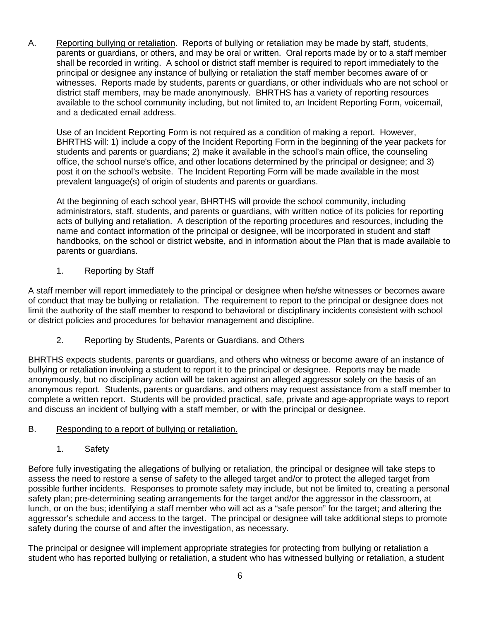A. Reporting bullying or retaliation. Reports of bullying or retaliation may be made by staff, students, parents or guardians, or others, and may be oral or written. Oral reports made by or to a staff member shall be recorded in writing. A school or district staff member is required to report immediately to the principal or designee any instance of bullying or retaliation the staff member becomes aware of or witnesses. Reports made by students, parents or guardians, or other individuals who are not school or district staff members, may be made anonymously. BHRTHS has a variety of reporting resources available to the school community including, but not limited to, an Incident Reporting Form, voicemail, and a dedicated email address.

Use of an Incident Reporting Form is not required as a condition of making a report. However, BHRTHS will: 1) include a copy of the Incident Reporting Form in the beginning of the year packets for students and parents or guardians; 2) make it available in the school's main office, the counseling office, the school nurse's office, and other locations determined by the principal or designee; and 3) post it on the school's website. The Incident Reporting Form will be made available in the most prevalent language(s) of origin of students and parents or guardians.

At the beginning of each school year, BHRTHS will provide the school community, including administrators, staff, students, and parents or guardians, with written notice of its policies for reporting acts of bullying and retaliation. A description of the reporting procedures and resources, including the name and contact information of the principal or designee, will be incorporated in student and staff handbooks, on the school or district website, and in information about the Plan that is made available to parents or guardians.

1. Reporting by Staff

A staff member will report immediately to the principal or designee when he/she witnesses or becomes aware of conduct that may be bullying or retaliation. The requirement to report to the principal or designee does not limit the authority of the staff member to respond to behavioral or disciplinary incidents consistent with school or district policies and procedures for behavior management and discipline.

2. Reporting by Students, Parents or Guardians, and Others

BHRTHS expects students, parents or guardians, and others who witness or become aware of an instance of bullying or retaliation involving a student to report it to the principal or designee. Reports may be made anonymously, but no disciplinary action will be taken against an alleged aggressor solely on the basis of an anonymous report. Students, parents or guardians, and others may request assistance from a staff member to complete a written report. Students will be provided practical, safe, private and age-appropriate ways to report and discuss an incident of bullying with a staff member, or with the principal or designee.

- B. Responding to a report of bullying or retaliation.
	- 1. Safety

Before fully investigating the allegations of bullying or retaliation, the principal or designee will take steps to assess the need to restore a sense of safety to the alleged target and/or to protect the alleged target from possible further incidents. Responses to promote safety may include, but not be limited to, creating a personal safety plan; pre-determining seating arrangements for the target and/or the aggressor in the classroom, at lunch, or on the bus; identifying a staff member who will act as a "safe person" for the target; and altering the aggressor's schedule and access to the target. The principal or designee will take additional steps to promote safety during the course of and after the investigation, as necessary.

The principal or designee will implement appropriate strategies for protecting from bullying or retaliation a student who has reported bullying or retaliation, a student who has witnessed bullying or retaliation, a student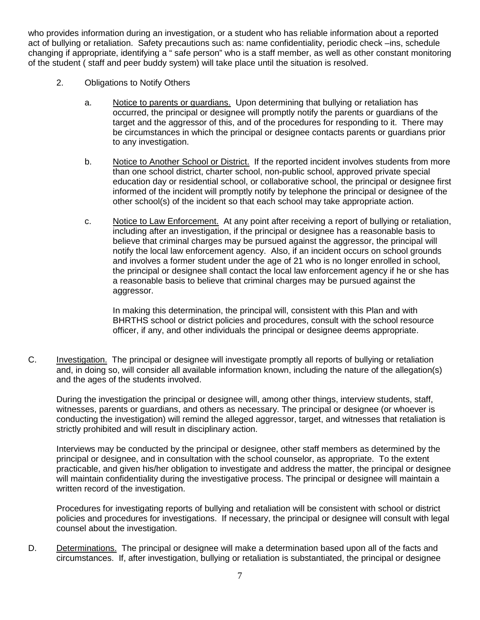who provides information during an investigation, or a student who has reliable information about a reported act of bullying or retaliation. Safety precautions such as: name confidentiality, periodic check –ins, schedule changing if appropriate, identifying a " safe person" who is a staff member, as well as other constant monitoring of the student ( staff and peer buddy system) will take place until the situation is resolved.

- 2. Obligations to Notify Others
	- a. Notice to parents or guardians. Upon determining that bullying or retaliation has occurred, the principal or designee will promptly notify the parents or guardians of the target and the aggressor of this, and of the procedures for responding to it. There may be circumstances in which the principal or designee contacts parents or guardians prior to any investigation.
	- b. Notice to Another School or District. If the reported incident involves students from more than one school district, charter school, non-public school, approved private special education day or residential school, or collaborative school, the principal or designee first informed of the incident will promptly notify by telephone the principal or designee of the other school(s) of the incident so that each school may take appropriate action.
	- c. Notice to Law Enforcement. At any point after receiving a report of bullying or retaliation, including after an investigation, if the principal or designee has a reasonable basis to believe that criminal charges may be pursued against the aggressor, the principal will notify the local law enforcement agency. Also, if an incident occurs on school grounds and involves a former student under the age of 21 who is no longer enrolled in school, the principal or designee shall contact the local law enforcement agency if he or she has a reasonable basis to believe that criminal charges may be pursued against the aggressor.

In making this determination, the principal will, consistent with this Plan and with BHRTHS school or district policies and procedures, consult with the school resource officer, if any, and other individuals the principal or designee deems appropriate.

C. Investigation. The principal or designee will investigate promptly all reports of bullying or retaliation and, in doing so, will consider all available information known, including the nature of the allegation(s) and the ages of the students involved.

During the investigation the principal or designee will, among other things, interview students, staff, witnesses, parents or guardians, and others as necessary. The principal or designee (or whoever is conducting the investigation) will remind the alleged aggressor, target, and witnesses that retaliation is strictly prohibited and will result in disciplinary action.

Interviews may be conducted by the principal or designee, other staff members as determined by the principal or designee, and in consultation with the school counselor, as appropriate. To the extent practicable, and given his/her obligation to investigate and address the matter, the principal or designee will maintain confidentiality during the investigative process. The principal or designee will maintain a written record of the investigation.

Procedures for investigating reports of bullying and retaliation will be consistent with school or district policies and procedures for investigations. If necessary, the principal or designee will consult with legal counsel about the investigation.

D. Determinations. The principal or designee will make a determination based upon all of the facts and circumstances. If, after investigation, bullying or retaliation is substantiated, the principal or designee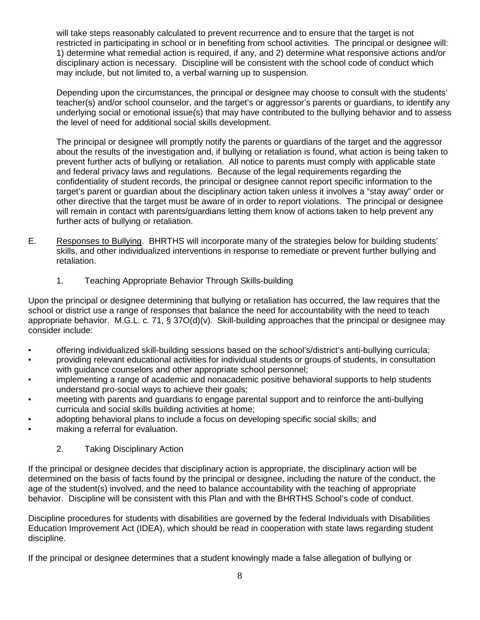will take steps reasonably calculated to prevent recurrence and to ensure that the target is not restricted in participating in school or in benefiting from school activities. The principal or designee will: 1) determine what remedial action is required, if any, and 2) determine what responsive actions and/or disciplinary action is necessary. Discipline will be consistent with the school code of conduct which may include, but not limited to, a verbal warning up to suspension.

Depending upon the circumstances, the principal or designee may choose to consult with the students' teacher(s) and/or school counselor, and the target's or aggressor's parents or guardians, to identify any underlying social or emotional issue(s) that may have contributed to the bullying behavior and to assess the level of need for additional social skills development.

The principal or designee will promptly notify the parents or guardians of the target and the aggressor about the results of the investigation and, if bullying or retaliation is found, what action is being taken to prevent further acts of bullying or retaliation. All notice to parents must comply with applicable state and federal privacy laws and regulations. Because of the legal requirements regarding the confidentiality of student records, the principal or designee cannot report specific information to the target's parent or guardian about the disciplinary action taken unless it involves a "stay away" order or other directive that the target must be aware of in order to report violations. The principal or designee will remain in contact with parents/guardians letting them know of actions taken to help prevent any further acts of bullying or retaliation.

- E. Responses to Bullying. BHRTHS will incorporate many of the strategies below for building students' skills, and other individualized interventions in response to remediate or prevent further bullying and retaliation.
	- 1. Teaching Appropriate Behavior Through Skills-building

Upon the principal or designee determining that bullying or retaliation has occurred, the law requires that the school or district use a range of responses that balance the need for accountability with the need to teach appropriate behavior. M.G.L. c. 71, § 37O(d)(v). Skill-building approaches that the principal or designee may consider include:

- offering individualized skill-building sessions based on the school's/district's anti-bullying curricula;
- providing relevant educational activities for individual students or groups of students, in consultation with guidance counselors and other appropriate school personnel;
- implementing a range of academic and nonacademic positive behavioral supports to help students understand pro-social ways to achieve their goals;
- meeting with parents and guardians to engage parental support and to reinforce the anti-bullying curricula and social skills building activities at home;
- adopting behavioral plans to include a focus on developing specific social skills; and
- **•** making a referral for evaluation.
	- 2. Taking Disciplinary Action

If the principal or designee decides that disciplinary action is appropriate, the disciplinary action will be determined on the basis of facts found by the principal or designee, including the nature of the conduct, the age of the student(s) involved, and the need to balance accountability with the teaching of appropriate behavior. Discipline will be consistent with this Plan and with the BHRTHS School's code of conduct.

Discipline procedures for students with disabilities are governed by the federal Individuals with Disabilities Education Improvement Act (IDEA), which should be read in cooperation with state laws regarding student discipline.

If the principal or designee determines that a student knowingly made a false allegation of bullying or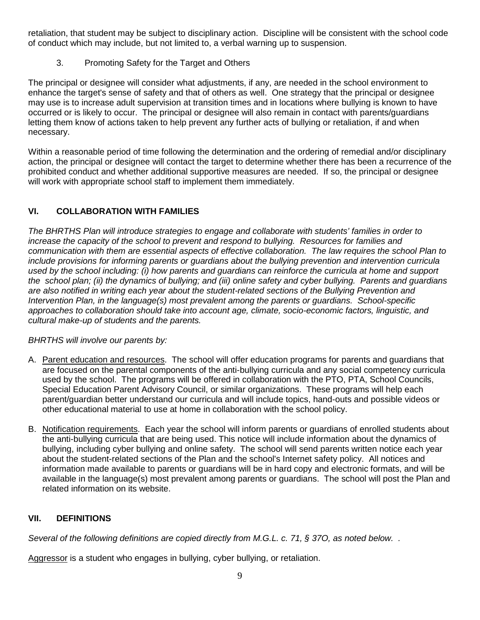retaliation, that student may be subject to disciplinary action. Discipline will be consistent with the school code of conduct which may include, but not limited to, a verbal warning up to suspension.

3. Promoting Safety for the Target and Others

The principal or designee will consider what adjustments, if any, are needed in the school environment to enhance the target's sense of safety and that of others as well. One strategy that the principal or designee may use is to increase adult supervision at transition times and in locations where bullying is known to have occurred or is likely to occur. The principal or designee will also remain in contact with parents/guardians letting them know of actions taken to help prevent any further acts of bullying or retaliation, if and when necessary.

Within a reasonable period of time following the determination and the ordering of remedial and/or disciplinary action, the principal or designee will contact the target to determine whether there has been a recurrence of the prohibited conduct and whether additional supportive measures are needed. If so, the principal or designee will work with appropriate school staff to implement them immediately.

## **VI. COLLABORATION WITH FAMILIES**

*The BHRTHS Plan will introduce strategies to engage and collaborate with students' families in order to increase the capacity of the school to prevent and respond to bullying. Resources for families and communication with them are essential aspects of effective collaboration. The law requires the school Plan to include provisions for informing parents or guardians about the bullying prevention and intervention curricula used by the school including: (i) how parents and guardians can reinforce the curricula at home and support the school plan; (ii) the dynamics of bullying; and (iii) online safety and cyber bullying. Parents and guardians are also notified in writing each year about the student-related sections of the Bullying Prevention and Intervention Plan, in the language(s) most prevalent among the parents or guardians. School-specific approaches to collaboration should take into account age, climate, socio-economic factors, linguistic, and cultural make-up of students and the parents.*

*BHRTHS will involve our parents by:*

- A. Parent education and resources. The school will offer education programs for parents and guardians that are focused on the parental components of the anti-bullying curricula and any social competency curricula used by the school. The programs will be offered in collaboration with the PTO, PTA, School Councils, Special Education Parent Advisory Council, or similar organizations. These programs will help each parent/guardian better understand our curricula and will include topics, hand-outs and possible videos or other educational material to use at home in collaboration with the school policy.
- B. Notification requirements. Each year the school will inform parents or guardians of enrolled students about the anti-bullying curricula that are being used. This notice will include information about the dynamics of bullying, including cyber bullying and online safety. The school will send parents written notice each year about the student-related sections of the Plan and the school's Internet safety policy. All notices and information made available to parents or guardians will be in hard copy and electronic formats, and will be available in the language(s) most prevalent among parents or guardians. The school will post the Plan and related information on its website.

## **VII. DEFINITIONS**

*Several of the following definitions are copied directly from M.G.L. c. 71, § 37O, as noted below. .*

Aggressor is a student who engages in bullying, cyber bullying, or retaliation.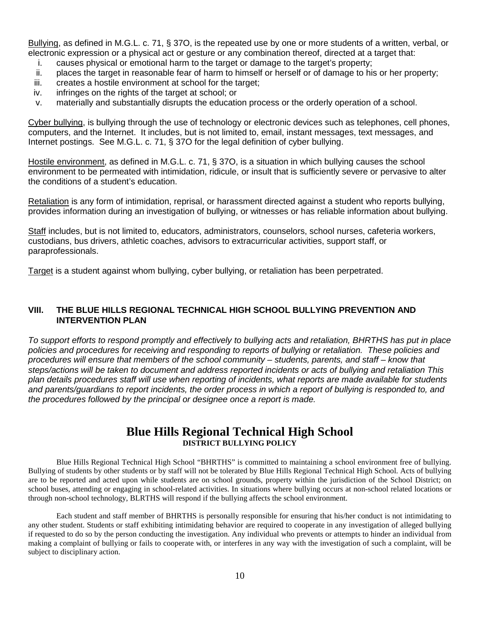Bullying, as defined in M.G.L. c. 71, § 37O, is the repeated use by one or more students of a written, verbal, or electronic expression or a physical act or gesture or any combination thereof, directed at a target that:

- i. causes physical or emotional harm to the target or damage to the target's property;
- ii. places the target in reasonable fear of harm to himself or herself or of damage to his or her property;
- iii. creates a hostile environment at school for the target:
- iv. infringes on the rights of the target at school; or
- v. materially and substantially disrupts the education process or the orderly operation of a school.

Cyber bullying, is bullying through the use of technology or electronic devices such as telephones, cell phones, computers, and the Internet. It includes, but is not limited to, email, instant messages, text messages, and Internet postings. See M.G.L. c. 71, § 37O for the legal definition of cyber bullying.

Hostile environment, as defined in M.G.L. c. 71, § 37O, is a situation in which bullying causes the school environment to be permeated with intimidation, ridicule, or insult that is sufficiently severe or pervasive to alter the conditions of a student's education.

Retaliation is any form of intimidation, reprisal, or harassment directed against a student who reports bullying, provides information during an investigation of bullying, or witnesses or has reliable information about bullying.

Staff includes, but is not limited to, educators, administrators, counselors, school nurses, cafeteria workers, custodians, bus drivers, athletic coaches, advisors to extracurricular activities, support staff, or paraprofessionals.

Target is a student against whom bullying, cyber bullying, or retaliation has been perpetrated.

### **VIII. THE BLUE HILLS REGIONAL TECHNICAL HIGH SCHOOL BULLYING PREVENTION AND INTERVENTION PLAN**

*To support efforts to respond promptly and effectively to bullying acts and retaliation, BHRTHS has put in place policies and procedures for receiving and responding to reports of bullying or retaliation. These policies and procedures will ensure that members of the school community – students, parents, and staff – know that steps/actions will be taken to document and address reported incidents or acts of bullying and retaliation This plan details procedures staff will use when reporting of incidents, what reports are made available for students and parents/guardians to report incidents, the order process in which a report of bullying is responded to, and the procedures followed by the principal or designee once a report is made.* 

# **Blue Hills Regional Technical High School DISTRICT BULLYING POLICY**

Blue Hills Regional Technical High School "BHRTHS" is committed to maintaining a school environment free of bullying. Bullying of students by other students or by staff will not be tolerated by Blue Hills Regional Technical High School. Acts of bullying are to be reported and acted upon while students are on school grounds, property within the jurisdiction of the School District; on school buses, attending or engaging in school-related activities. In situations where bullying occurs at non-school related locations or through non-school technology, BLRTHS will respond if the bullying affects the school environment.

Each student and staff member of BHRTHS is personally responsible for ensuring that his/her conduct is not intimidating to any other student. Students or staff exhibiting intimidating behavior are required to cooperate in any investigation of alleged bullying if requested to do so by the person conducting the investigation. Any individual who prevents or attempts to hinder an individual from making a complaint of bullying or fails to cooperate with, or interferes in any way with the investigation of such a complaint, will be subject to disciplinary action.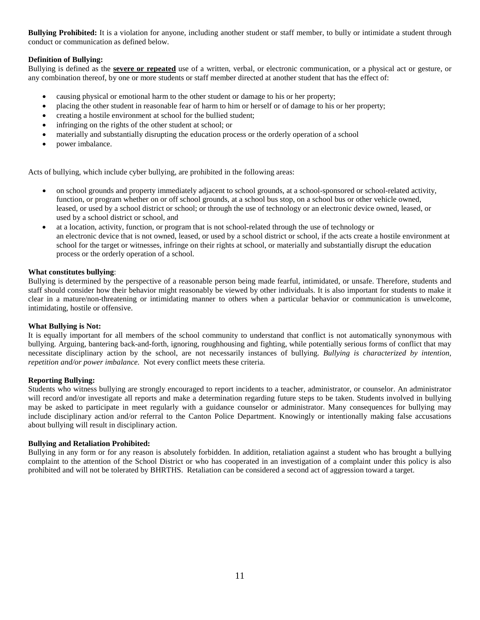**Bullying Prohibited:** It is a violation for anyone, including another student or staff member, to bully or intimidate a student through conduct or communication as defined below.

#### **Definition of Bullying:**

Bullying is defined as the **severe or repeated** use of a written, verbal, or electronic communication, or a physical act or gesture, or any combination thereof, by one or more students or staff member directed at another student that has the effect of:

- causing physical or emotional harm to the other student or damage to his or her property;
- placing the other student in reasonable fear of harm to him or herself or of damage to his or her property;
- creating a hostile environment at school for the bullied student;
- infringing on the rights of the other student at school; or
- materially and substantially disrupting the education process or the orderly operation of a school
- power imbalance.

Acts of bullying, which include cyber bullying, are prohibited in the following areas:

- on school grounds and property immediately adjacent to school grounds, at a school-sponsored or school-related activity, function, or program whether on or off school grounds, at a school bus stop, on a school bus or other vehicle owned, leased, or used by a school district or school; or through the use of technology or an electronic device owned, leased, or used by a school district or school, and
- at a location, activity, function, or program that is not school-related through the use of technology or an electronic device that is not owned, leased, or used by a school district or school, if the acts create a hostile environment at school for the target or witnesses, infringe on their rights at school, or materially and substantially disrupt the education process or the orderly operation of a school.

#### **What constitutes bullying**:

Bullying is determined by the perspective of a reasonable person being made fearful, intimidated, or unsafe. Therefore, students and staff should consider how their behavior might reasonably be viewed by other individuals. It is also important for students to make it clear in a mature/non-threatening or intimidating manner to others when a particular behavior or communication is unwelcome, intimidating, hostile or offensive.

#### **What Bullying is Not:**

It is equally important for all members of the school community to understand that conflict is not automatically synonymous with bullying. Arguing, bantering back-and-forth, ignoring, roughhousing and fighting, while potentially serious forms of conflict that may necessitate disciplinary action by the school, are not necessarily instances of bullying. *Bullying is characterized by intention, repetition and/or power imbalance.* Not every conflict meets these criteria.

#### **Reporting Bullying:**

Students who witness bullying are strongly encouraged to report incidents to a teacher, administrator, or counselor. An administrator will record and/or investigate all reports and make a determination regarding future steps to be taken. Students involved in bullying may be asked to participate in meet regularly with a guidance counselor or administrator. Many consequences for bullying may include disciplinary action and/or referral to the Canton Police Department. Knowingly or intentionally making false accusations about bullying will result in disciplinary action.

#### **Bullying and Retaliation Prohibited:**

Bullying in any form or for any reason is absolutely forbidden. In addition, retaliation against a student who has brought a bullying complaint to the attention of the School District or who has cooperated in an investigation of a complaint under this policy is also prohibited and will not be tolerated by BHRTHS. Retaliation can be considered a second act of aggression toward a target.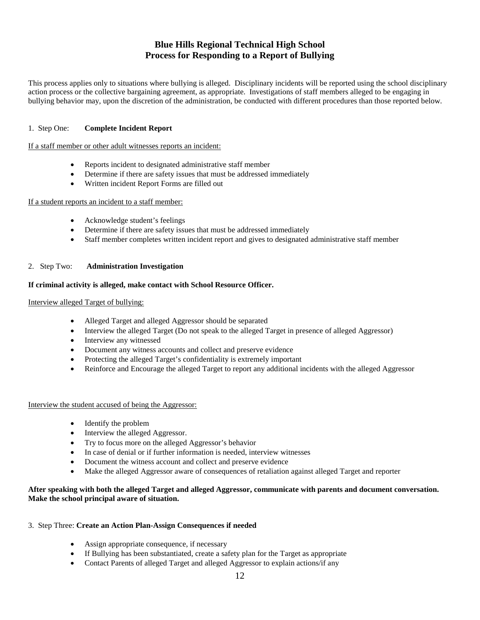### **Blue Hills Regional Technical High School Process for Responding to a Report of Bullying**

This process applies only to situations where bullying is alleged. Disciplinary incidents will be reported using the school disciplinary action process or the collective bargaining agreement, as appropriate. Investigations of staff members alleged to be engaging in bullying behavior may, upon the discretion of the administration, be conducted with different procedures than those reported below.

#### 1. Step One: **Complete Incident Report**

If a staff member or other adult witnesses reports an incident:

- Reports incident to designated administrative staff member
- Determine if there are safety issues that must be addressed immediately
- Written incident Report Forms are filled out

#### If a student reports an incident to a staff member:

- Acknowledge student's feelings
- Determine if there are safety issues that must be addressed immediately
- Staff member completes written incident report and gives to designated administrative staff member

#### 2. Step Two: **Administration Investigation**

#### **If criminal activity is alleged, make contact with School Resource Officer.**

#### Interview alleged Target of bullying:

- Alleged Target and alleged Aggressor should be separated
- Interview the alleged Target (Do not speak to the alleged Target in presence of alleged Aggressor)
- Interview any witnessed
- Document any witness accounts and collect and preserve evidence
- Protecting the alleged Target's confidentiality is extremely important
- Reinforce and Encourage the alleged Target to report any additional incidents with the alleged Aggressor

#### Interview the student accused of being the Aggressor:

- Identify the problem
- Interview the alleged Aggressor.
- Try to focus more on the alleged Aggressor's behavior
- In case of denial or if further information is needed, interview witnesses
- Document the witness account and collect and preserve evidence
- Make the alleged Aggressor aware of consequences of retaliation against alleged Target and reporter

#### **After speaking with both the alleged Target and alleged Aggressor, communicate with parents and document conversation. Make the school principal aware of situation.**

#### 3. Step Three: **Create an Action Plan-Assign Consequences if needed**

- Assign appropriate consequence, if necessary
- If Bullying has been substantiated, create a safety plan for the Target as appropriate
- Contact Parents of alleged Target and alleged Aggressor to explain actions/if any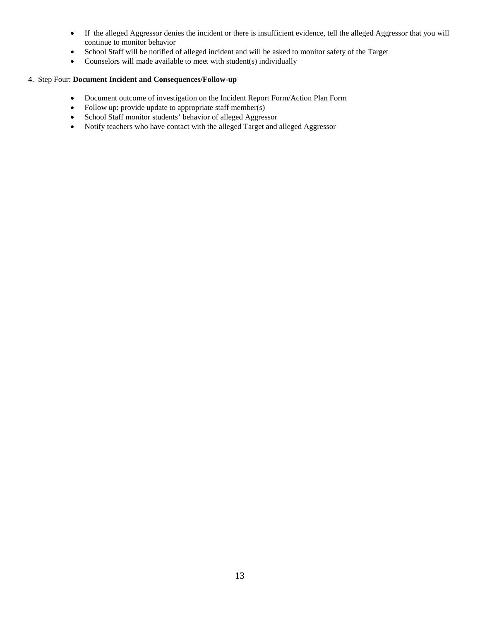- If the alleged Aggressor denies the incident or there is insufficient evidence, tell the alleged Aggressor that you will continue to monitor behavior
- School Staff will be notified of alleged incident and will be asked to monitor safety of the Target
- Counselors will made available to meet with student(s) individually

#### 4. Step Four: **Document Incident and Consequences/Follow-up**

- Document outcome of investigation on the Incident Report Form/Action Plan Form
- Follow up: provide update to appropriate staff member(s)
- School Staff monitor students' behavior of alleged Aggressor
- Notify teachers who have contact with the alleged Target and alleged Aggressor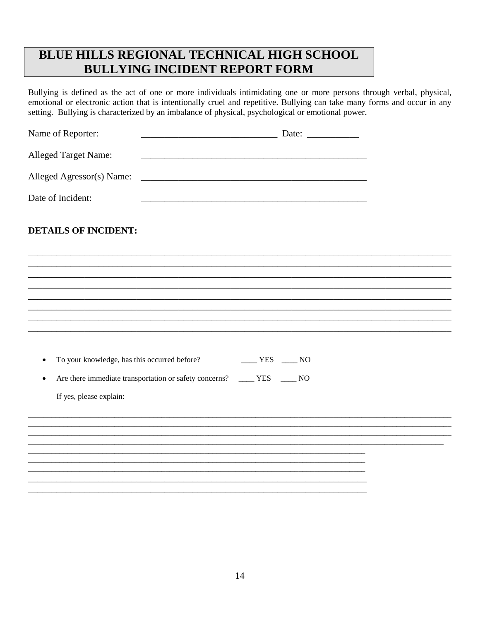# **BLUE HILLS REGIONAL TECHNICAL HIGH SCHOOL BULLYING INCIDENT REPORT FORM**

Bullying is defined as the act of one or more individuals intimidating one or more persons through verbal, physical, emotional or electronic action that is intentionally cruel and repetitive. Bullying can take many forms and occur in any setting. Bullying is characterized by an imbalance of physical, psychological or emotional power.

| Name of Reporter:                            |                                                                                                                      |  |
|----------------------------------------------|----------------------------------------------------------------------------------------------------------------------|--|
| <b>Alleged Target Name:</b>                  |                                                                                                                      |  |
| Alleged Agressor(s) Name:                    | <u> Alexandria de la contrada de la contrada de la contrada de la contrada de la contrada de la contrada de la c</u> |  |
| Date of Incident:                            |                                                                                                                      |  |
| <b>DETAILS OF INCIDENT:</b>                  |                                                                                                                      |  |
|                                              |                                                                                                                      |  |
|                                              |                                                                                                                      |  |
|                                              |                                                                                                                      |  |
|                                              |                                                                                                                      |  |
|                                              |                                                                                                                      |  |
|                                              |                                                                                                                      |  |
|                                              |                                                                                                                      |  |
| To your knowledge, has this occurred before? | $YES$ NO                                                                                                             |  |
| $\bullet$                                    | Are there immediate transportation or safety concerns? _____ YES _____ NO                                            |  |
| If yes, please explain:                      |                                                                                                                      |  |
|                                              |                                                                                                                      |  |
|                                              |                                                                                                                      |  |
|                                              |                                                                                                                      |  |
|                                              |                                                                                                                      |  |
|                                              |                                                                                                                      |  |
|                                              |                                                                                                                      |  |
|                                              |                                                                                                                      |  |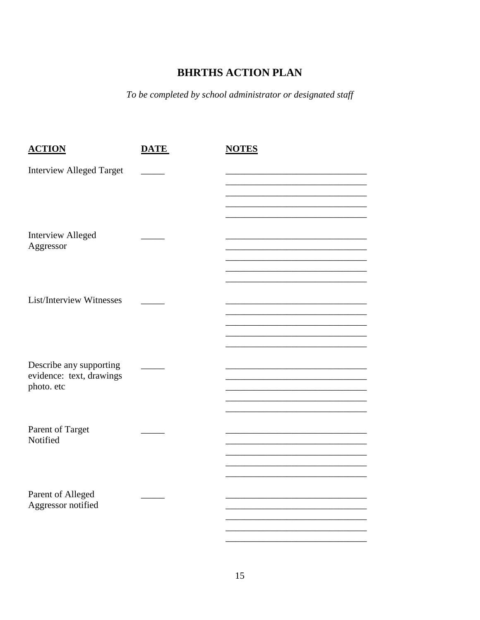# **BHRTHS ACTION PLAN**

To be completed by school administrator or designated staff

| <b>ACTION</b>                                                     | <b>DATE</b> | <b>NOTES</b> |
|-------------------------------------------------------------------|-------------|--------------|
| <b>Interview Alleged Target</b>                                   |             |              |
| <b>Interview Alleged</b><br>Aggressor                             |             |              |
| <b>List/Interview Witnesses</b>                                   |             |              |
| Describe any supporting<br>evidence: text, drawings<br>photo. etc |             |              |
| Parent of Target<br>Notified                                      |             |              |
| Parent of Alleged<br>Aggressor notified                           |             |              |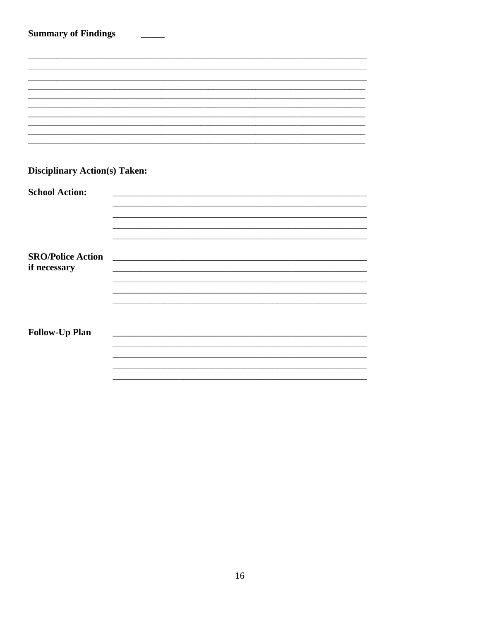| <b>Summary of Findings</b>           |  |  |  |
|--------------------------------------|--|--|--|
|                                      |  |  |  |
|                                      |  |  |  |
|                                      |  |  |  |
|                                      |  |  |  |
|                                      |  |  |  |
|                                      |  |  |  |
|                                      |  |  |  |
|                                      |  |  |  |
|                                      |  |  |  |
| <b>Disciplinary Action(s) Taken:</b> |  |  |  |
| <b>School Action:</b>                |  |  |  |
|                                      |  |  |  |
|                                      |  |  |  |
|                                      |  |  |  |
|                                      |  |  |  |
| <b>SRO/Police Action</b>             |  |  |  |
| if necessary                         |  |  |  |
|                                      |  |  |  |
|                                      |  |  |  |
|                                      |  |  |  |
|                                      |  |  |  |
| Follow-Up Plan                       |  |  |  |
|                                      |  |  |  |
|                                      |  |  |  |
|                                      |  |  |  |